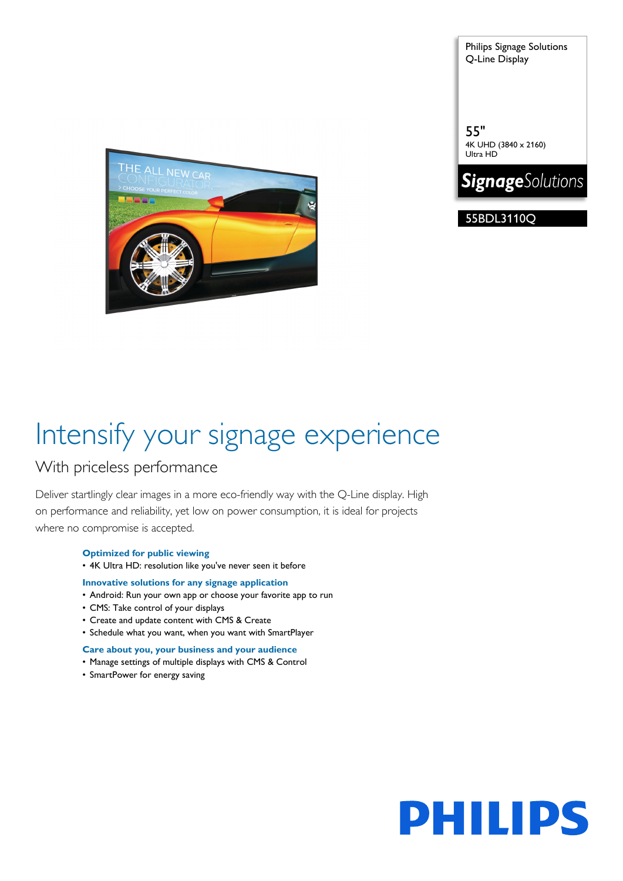Philips Signage Solutions Q-Line Display

55" 4K UHD (3840 x 2160) Ultra HD



55BDL3110Q



# Intensify your signage experience

### With priceless performance

Deliver startlingly clear images in a more eco-friendly way with the Q-Line display. High on performance and reliability, yet low on power consumption, it is ideal for projects where no compromise is accepted.

#### **Optimized for public viewing**

• 4K Ultra HD: resolution like you've never seen it before

#### **Innovative solutions for any signage application**

- Android: Run your own app or choose your favorite app to run
- CMS: Take control of your displays
- Create and update content with CMS & Create
- Schedule what you want, when you want with SmartPlayer

#### **Care about you, your business and your audience**

- Manage settings of multiple displays with CMS & Control
- SmartPower for energy saving